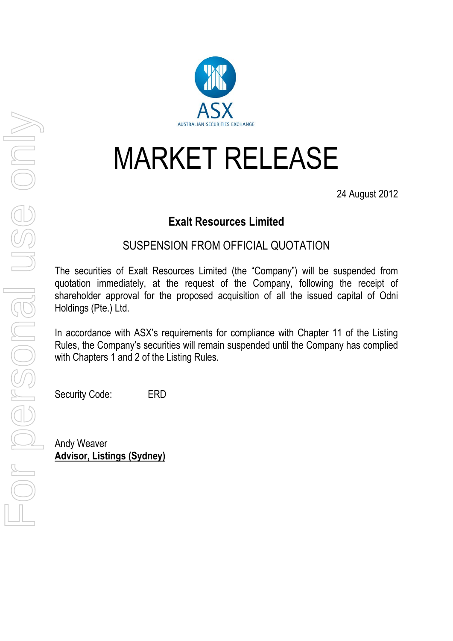## MARKET RELEASE

24 August 2012

## **Exalt Resources Limited**

## SUSPENSION FROM OFFICIAL QUOTATION

The securities of Exalt Resources Limited (the "Company") will be suspended from quotation immediately, at the request of the Company, following the receipt of shareholder approval for the proposed acquisition of all the issued capital of Odni Holdings (Pte.) Ltd.

In accordance with ASX's requirements for compliance with Chapter 11 of the Listing Rules, the Company's securities will remain suspended until the Company has complied with Chapters 1 and 2 of the Listing Rules.

Security Code: ERD

Andy Weaver **Advisor, Listings (Sydney)**